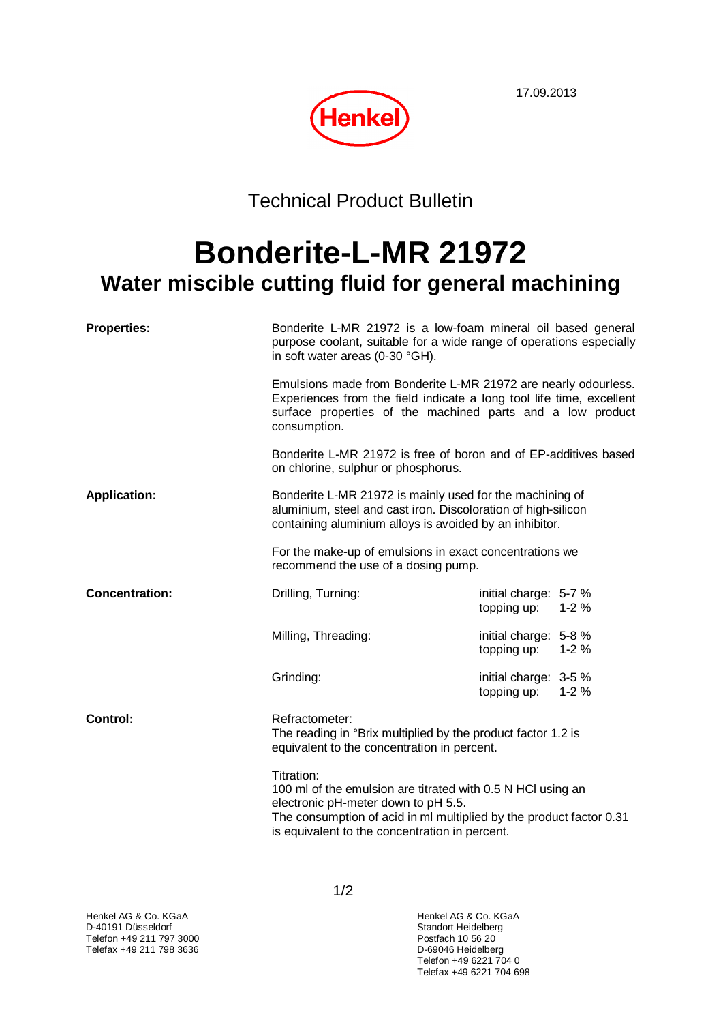17.09.2013



Technical Product Bulletin

## **Bonderite-L-MR 21972 Water miscible cutting fluid for general machining**

| <b>Properties:</b>    | Bonderite L-MR 21972 is a low-foam mineral oil based general<br>purpose coolant, suitable for a wide range of operations especially<br>in soft water areas (0-30 °GH).<br>Emulsions made from Bonderite L-MR 21972 are nearly odourless.<br>Experiences from the field indicate a long tool life time, excellent<br>surface properties of the machined parts and a low product<br>consumption. |                                                                                                                                    |  |
|-----------------------|------------------------------------------------------------------------------------------------------------------------------------------------------------------------------------------------------------------------------------------------------------------------------------------------------------------------------------------------------------------------------------------------|------------------------------------------------------------------------------------------------------------------------------------|--|
|                       |                                                                                                                                                                                                                                                                                                                                                                                                |                                                                                                                                    |  |
|                       | on chlorine, sulphur or phosphorus.                                                                                                                                                                                                                                                                                                                                                            | Bonderite L-MR 21972 is free of boron and of EP-additives based                                                                    |  |
| <b>Application:</b>   | Bonderite L-MR 21972 is mainly used for the machining of<br>aluminium, steel and cast iron. Discoloration of high-silicon<br>containing aluminium alloys is avoided by an inhibitor.                                                                                                                                                                                                           |                                                                                                                                    |  |
|                       | recommend the use of a dosing pump.                                                                                                                                                                                                                                                                                                                                                            | For the make-up of emulsions in exact concentrations we                                                                            |  |
| <b>Concentration:</b> | Drilling, Turning:                                                                                                                                                                                                                                                                                                                                                                             | initial charge: 5-7 %<br>topping up:<br>$1 - 2%$                                                                                   |  |
|                       | Milling, Threading:                                                                                                                                                                                                                                                                                                                                                                            | initial charge: 5-8 %<br>topping up: 1-2 %                                                                                         |  |
|                       | Grinding:                                                                                                                                                                                                                                                                                                                                                                                      | initial charge: 3-5 %<br>topping up: 1-2 %                                                                                         |  |
| Control:              | Refractometer:<br>The reading in °Brix multiplied by the product factor 1.2 is<br>equivalent to the concentration in percent.                                                                                                                                                                                                                                                                  |                                                                                                                                    |  |
|                       | Titration:<br>electronic pH-meter down to pH 5.5.<br>is equivalent to the concentration in percent.                                                                                                                                                                                                                                                                                            | 100 ml of the emulsion are titrated with 0.5 N HCl using an<br>The consumption of acid in ml multiplied by the product factor 0.31 |  |

Telefon +49 6221 704 0 Telefax +49 6221 704 698